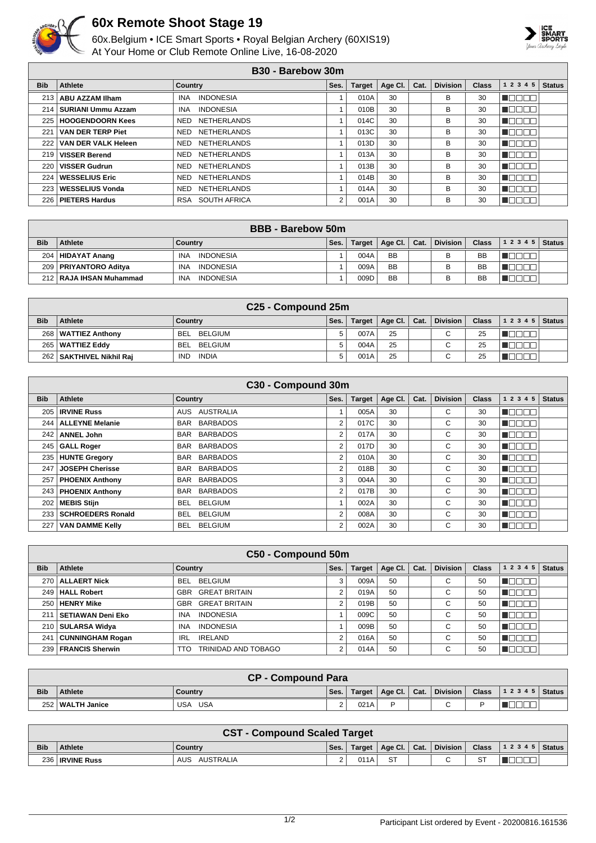

## **60x Remote Shoot Stage 19**

60x.Belgium • ICE Smart Sports • Royal Belgian Archery (60XIS19) At Your Home or Club Remote Online Live, 16-08-2020



## **B30 - Barebow 30m**

| <b>Bib</b>   | Athlete                    | Country                        | Ses. | <b>Target</b> | Age Cl. | Cat. | <b>Division</b> | <b>Class</b> | 1 2 3 4 5 | <b>Status</b> |
|--------------|----------------------------|--------------------------------|------|---------------|---------|------|-----------------|--------------|-----------|---------------|
| 213          | ABU AZZAM Ilham            | <b>INDONESIA</b><br><b>INA</b> |      | 010A          | 30      |      | В               | 30           |           |               |
| 214          | SURIANI Ummu Azzam         | <b>INDONESIA</b><br><b>INA</b> |      | 010B          | 30      |      | В               | 30           |           |               |
| 225          | <b>HOOGENDOORN Kees</b>    | <b>NETHERLANDS</b><br>NED      |      | 014C          | 30      |      | В               | 30           |           |               |
| $22^{\circ}$ | <b>VAN DER TERP Piet</b>   | <b>NETHERLANDS</b><br>NED      |      | 013C          | 30      |      | В               | 30           |           |               |
| 222          | <b>VAN DER VALK Heleen</b> | <b>NETHERLANDS</b><br>NED      |      | 013D          | 30      |      | в               | 30           |           |               |
| 219          | <b>VISSER Berend</b>       | <b>NETHERLANDS</b><br>NED      |      | 013A          | 30      |      | в               | 30           |           |               |
| 220          | <b>VISSER Gudrun</b>       | <b>NETHERLANDS</b><br>NED      |      | 013B          | 30      |      | В               | 30           |           |               |
| 224          | <b>WESSELIUS Eric</b>      | NETHERLANDS<br>NED             |      | 014B          | 30      |      | В               | 30           |           |               |
| 223          | <b>WESSELIUS Vonda</b>     | <b>NETHERLANDS</b><br>NED      |      | 014A          | 30      |      | в               | 30           |           |               |
| 226          | <b>PIETERS Hardus</b>      | SOUTH AFRICA<br><b>RSA</b>     | 2    | 001A          | 30      |      | B               | 30           |           |               |

| <b>BBB</b> - Barebow 50m |                           |                         |      |               |                      |  |                 |              |                |  |  |
|--------------------------|---------------------------|-------------------------|------|---------------|----------------------|--|-----------------|--------------|----------------|--|--|
| <b>Bib</b>               | Athlete                   | Country                 | Ses. | <b>Target</b> | Age Cl. $\vert$ Cat. |  | <b>Division</b> | <b>Class</b> | $12345$ Status |  |  |
|                          | 204   HIDAYAT Anang       | <b>INDONESIA</b><br>INA |      | 004A          | <b>BB</b>            |  |                 | <b>BB</b>    |                |  |  |
| 209 l                    | PRIYANTORO Aditva         | INDONESIA<br><b>INA</b> |      | 009A          | <b>BB</b>            |  |                 | <b>BB</b>    |                |  |  |
|                          | 212   RAJA IHSAN Muhammad | INDONESIA<br>INA        |      | 009D          | <b>BB</b>            |  |                 | BB           |                |  |  |

| C <sub>25</sub> - Compound 25m |                        |                       |      |               |             |      |                 |              |       |               |  |
|--------------------------------|------------------------|-----------------------|------|---------------|-------------|------|-----------------|--------------|-------|---------------|--|
| <b>Bib</b>                     | <b>Athlete</b>         | Country               | Ses. | <b>Target</b> | Age Cl. $ $ | Cat. | <b>Division</b> | <b>Class</b> | 12345 | <b>Status</b> |  |
| 268                            | <b>WATTIEZ Anthony</b> | BELGIUM<br><b>BEL</b> | ς    | 007A          | 25          |      | $\sim$          | 25           |       |               |  |
| 265                            | <b>WATTIEZ Eddy</b>    | BELGIUM<br><b>BEL</b> |      | 004A          | 25          |      | $\sim$          | 25           |       |               |  |
| 262                            | SAKTHIVEL Nikhil Rai   | <b>IND</b><br>INDIA   | h    | 001A          | 25          |      | $\sim$          | 25           |       |               |  |

| C30 - Compound 30m |                        |                              |                |               |         |      |                 |              |              |               |  |
|--------------------|------------------------|------------------------------|----------------|---------------|---------|------|-----------------|--------------|--------------|---------------|--|
| <b>Bib</b>         | Athlete                | <b>Country</b>               | Ses.           | <b>Target</b> | Age Cl. | Cat. | <b>Division</b> | <b>Class</b> | 1 2 3 4 5    | <b>Status</b> |  |
|                    | 205   IRVINE Russ      | AUSTRALIA<br>AUS             |                | 005A          | 30      |      | С               | 30           | n aan a      |               |  |
|                    | 244   ALLEYNE Melanie  | BAR BARBADOS                 | 2              | 017C          | 30      |      | C               | 30           | n de e e     |               |  |
|                    | 242   ANNEL John       | BAR BARBADOS                 | 2              | 017A          | 30      |      | C               | 30           | MOOO O       |               |  |
|                    | 245   GALL Roger       | BAR BARBADOS                 | 2              | 017D          | 30      |      | C               | 30           | n Booc       |               |  |
|                    | 235   HUNTE Gregory    | BAR BARBADOS                 | 2              | 010A          | 30      |      | C               | 30           | n aan a      |               |  |
| 247                | <b>JOSEPH Cherisse</b> | <b>BARBADOS</b><br>BAR       | 2              | 018B          | 30      |      | C               | 30           | N E E E E    |               |  |
| 257                | <b>PHOENIX Anthony</b> | <b>BARBADOS</b><br>BAR       | 3              | 004A          | 30      |      | C               | 30           | n Book       |               |  |
|                    | 243   PHOENIX Anthony  | <b>BARBADOS</b><br>BAR       | $\overline{2}$ | 017B          | 30      |      | C               | 30           | n Els Els    |               |  |
|                    | 202   MEBIS Stijn      | <b>BELGIUM</b><br>BEL.       |                | 002A          | 30      |      | С               | 30           | n aan a      |               |  |
| 233                | SCHROEDERS Ronald      | <b>BELGIUM</b><br>BEL        | $\overline{2}$ | 008A          | 30      |      | C               | 30           | n de e e     |               |  |
| 227                | <b>VAN DAMME Kelly</b> | <b>BELGIUM</b><br><b>BEL</b> | 2              | 002A          | 30      |      | C               | 30           | <b>MODOO</b> |               |  |

| C50 - Compound 50m |                         |                                    |      |               |         |      |                 |              |              |               |  |
|--------------------|-------------------------|------------------------------------|------|---------------|---------|------|-----------------|--------------|--------------|---------------|--|
| <b>Bib</b>         | Athlete                 | Country                            | Ses. | <b>Target</b> | Age Cl. | Cat. | <b>Division</b> | <b>Class</b> | 1 2 3 4 5    | <b>Status</b> |  |
| 270                | <b>ALLAERT Nick</b>     | BELGIUM<br>BEL                     | 3    | 009A          | 50      |      | С               | 50           | <b>RANDA</b> |               |  |
|                    | 249   HALL Robert       | <b>GREAT BRITAIN</b><br><b>GBR</b> | 2    | 019A          | 50      |      | C               | 50           | TE E E E     |               |  |
| 250                | <b>HENRY Mike</b>       | <b>GREAT BRITAIN</b><br>GBR        | 2    | 019B          | 50      |      | С               | 50           | n www.       |               |  |
| 211                | SETIAWAN Deni Eko       | <b>INDONESIA</b><br><b>INA</b>     |      | 009C          | 50      |      | С               | 50           | UN DE EL     |               |  |
|                    | 210   SULARSA Widya     | <b>INDONESIA</b><br><b>INA</b>     |      | 009B          | 50      |      | C               | 50           | <b>RANDA</b> |               |  |
| 241                | <b>CUNNINGHAM Rogan</b> | <b>IRELAND</b><br>IRL              | 2    | 016A          | 50      |      | C               | 50           | TELEL        |               |  |
|                    | 239   FRANCIS Sherwin   | TRINIDAD AND TOBAGO<br><b>TTO</b>  | 2    | 014A          | 50      |      | C               | 50           | <b>TELER</b> |               |  |

| <b>CP - Compound Para</b> |                    |         |                    |      |                         |  |          |              |                |  |
|---------------------------|--------------------|---------|--------------------|------|-------------------------|--|----------|--------------|----------------|--|
| <b>Bib</b>                | Athlete            | Country | Ses.               |      | Target   Age Cl.   Cat. |  | Division | <b>Class</b> | $12345$ Status |  |
|                           | 252   WALTH Janice | USA USA | $\sim$<br><u>.</u> | 021A | D                       |  | ⌒        |              | ___            |  |

|            | <b>CST - Compound Scaled Target</b> |                  |          |        |             |      |                 |              |                  |  |  |
|------------|-------------------------------------|------------------|----------|--------|-------------|------|-----------------|--------------|------------------|--|--|
| <b>Bib</b> | <b>Athlete</b>                      | Country          | Ses.     | Target | Age Cl. $ $ | Cat. | <b>Division</b> | <b>Class</b> | $ 12345 $ Status |  |  |
|            | 236 <b>IRVINE Russ</b>              | AUS<br>AUSTRALIA | <u>.</u> | 011A   | <b>RT</b>   |      |                 | ST           |                  |  |  |